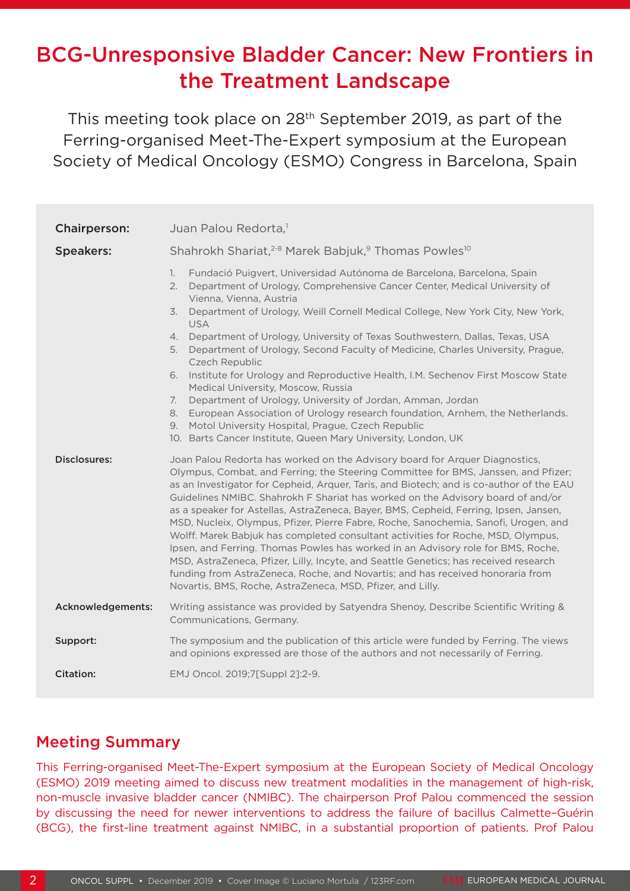# BCG-Unresponsive Bladder Cancer: New Frontiers in the Treatment Landscape

This meeting took place on 28<sup>th</sup> September 2019, as part of the Ferring-organised Meet-The-Expert symposium at the European Society of Medical Oncology (ESMO) Congress in Barcelona, Spain

| <b>Chairperson:</b> | Juan Palou Redorta, <sup>1</sup>                                                                                                                                                                                                                                                                                                                                                                                                                                                                                                                                                                                                                                                                                                                                                                                                                                                                                                               |
|---------------------|------------------------------------------------------------------------------------------------------------------------------------------------------------------------------------------------------------------------------------------------------------------------------------------------------------------------------------------------------------------------------------------------------------------------------------------------------------------------------------------------------------------------------------------------------------------------------------------------------------------------------------------------------------------------------------------------------------------------------------------------------------------------------------------------------------------------------------------------------------------------------------------------------------------------------------------------|
| <b>Speakers:</b>    | Shahrokh Shariat, <sup>2-8</sup> Marek Babjuk, <sup>9</sup> Thomas Powles <sup>10</sup>                                                                                                                                                                                                                                                                                                                                                                                                                                                                                                                                                                                                                                                                                                                                                                                                                                                        |
|                     | 1.<br>Fundació Puigvert, Universidad Autónoma de Barcelona, Barcelona, Spain<br>Department of Urology, Comprehensive Cancer Center, Medical University of<br>2.<br>Vienna, Vienna, Austria<br>Department of Urology, Weill Cornell Medical College, New York City, New York,<br>3.<br><b>USA</b><br>4. Department of Urology, University of Texas Southwestern, Dallas, Texas, USA<br>Department of Urology, Second Faculty of Medicine, Charles University, Prague,<br>5.<br>Czech Republic<br>6. Institute for Urology and Reproductive Health, I.M. Sechenov First Moscow State<br>Medical University, Moscow, Russia<br>Department of Urology, University of Jordan, Amman, Jordan<br>7.<br>European Association of Urology research foundation, Arnhem, the Netherlands.<br>8.<br>Motol University Hospital, Prague, Czech Republic<br>9.<br>10. Barts Cancer Institute, Queen Mary University, London, UK                                |
| Disclosures:        | Joan Palou Redorta has worked on the Advisory board for Arquer Diagnostics,<br>Olympus, Combat, and Ferring; the Steering Committee for BMS, Janssen, and Pfizer;<br>as an Investigator for Cepheid, Arquer, Taris, and Biotech; and is co-author of the EAU<br>Guidelines NMIBC. Shahrokh F Shariat has worked on the Advisory board of and/or<br>as a speaker for Astellas, AstraZeneca, Bayer, BMS, Cepheid, Ferring, Ipsen, Jansen,<br>MSD, Nucleix, Olympus, Pfizer, Pierre Fabre, Roche, Sanochemia, Sanofi, Urogen, and<br>Wolff. Marek Babjuk has completed consultant activities for Roche, MSD, Olympus,<br>Ipsen, and Ferring. Thomas Powles has worked in an Advisory role for BMS, Roche,<br>MSD, AstraZeneca, Pfizer, Lilly, Incyte, and Seattle Genetics; has received research<br>funding from AstraZeneca, Roche, and Novartis; and has received honoraria from<br>Novartis, BMS, Roche, AstraZeneca, MSD, Pfizer, and Lilly. |
| Acknowledgements:   | Writing assistance was provided by Satyendra Shenoy, Describe Scientific Writing &<br>Communications, Germany.                                                                                                                                                                                                                                                                                                                                                                                                                                                                                                                                                                                                                                                                                                                                                                                                                                 |
| Support:            | The symposium and the publication of this article were funded by Ferring. The views<br>and opinions expressed are those of the authors and not necessarily of Ferring.                                                                                                                                                                                                                                                                                                                                                                                                                                                                                                                                                                                                                                                                                                                                                                         |
| <b>Citation:</b>    | EMJ Oncol. 2019;7[Suppl 2]:2-9.                                                                                                                                                                                                                                                                                                                                                                                                                                                                                                                                                                                                                                                                                                                                                                                                                                                                                                                |

### Meeting Summary

This Ferring-organised Meet-The-Expert symposium at the European Society of Medical Oncology (ESMO) 2019 meeting aimed to discuss new treatment modalities in the management of high-risk, non-muscle invasive bladder cancer (NMIBC). The chairperson Prof Palou commenced the session by discussing the need for newer interventions to address the failure of bacillus Calmette–Guérin (BCG), the first-line treatment against NMIBC, in a substantial proportion of patients. Prof Palou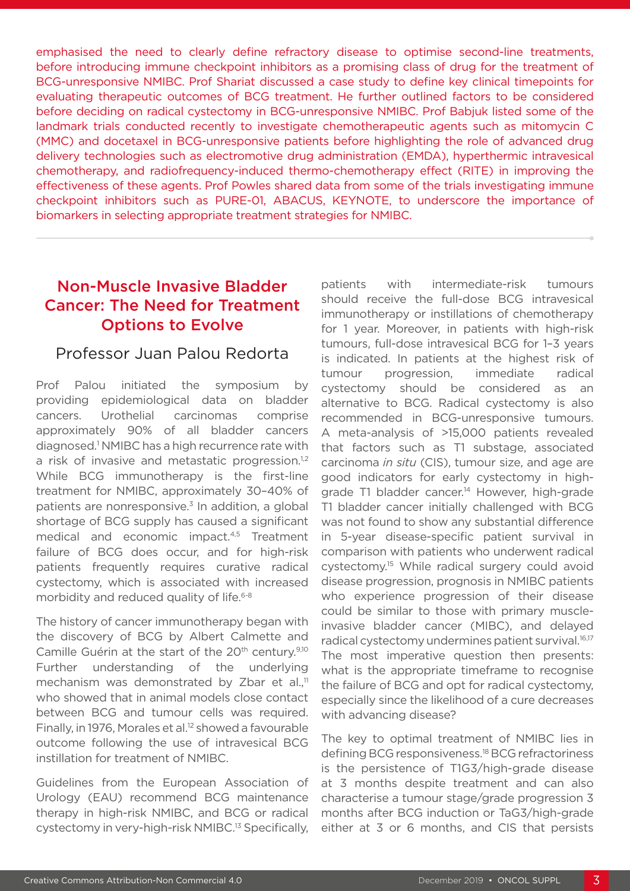emphasised the need to clearly define refractory disease to optimise second-line treatments, before introducing immune checkpoint inhibitors as a promising class of drug for the treatment of BCG-unresponsive NMIBC. Prof Shariat discussed a case study to define key clinical timepoints for evaluating therapeutic outcomes of BCG treatment. He further outlined factors to be considered before deciding on radical cystectomy in BCG-unresponsive NMIBC. Prof Babjuk listed some of the landmark trials conducted recently to investigate chemotherapeutic agents such as mitomycin C (MMC) and docetaxel in BCG-unresponsive patients before highlighting the role of advanced drug delivery technologies such as electromotive drug administration (EMDA), hyperthermic intravesical chemotherapy, and radiofrequency-induced thermo-chemotherapy effect (RITE) in improving the effectiveness of these agents. Prof Powles shared data from some of the trials investigating immune checkpoint inhibitors such as PURE-01, ABACUS, KEYNOTE, to underscore the importance of biomarkers in selecting appropriate treatment strategies for NMIBC.

# Non-Muscle Invasive Bladder Cancer: The Need for Treatment Options to Evolve

#### Professor Juan Palou Redorta

Prof Palou initiated the symposium by providing epidemiological data on bladder cancers. Urothelial carcinomas comprise approximately 90% of all bladder cancers diagnosed.<sup>1</sup> NMIBC has a high recurrence rate with a risk of invasive and metastatic progression.<sup>1,2</sup> While BCG immunotherapy is the first-line treatment for NMIBC, approximately 30–40% of patients are nonresponsive.<sup>3</sup> In addition, a global shortage of BCG supply has caused a significant medical and economic impact.4,5 Treatment failure of BCG does occur, and for high-risk patients frequently requires curative radical cystectomy, which is associated with increased morbidity and reduced quality of life.<sup>6-8</sup>

The history of cancer immunotherapy began with the discovery of BCG by Albert Calmette and Camille Guérin at the start of the 20<sup>th</sup> century.<sup>9,10</sup> Further understanding of the underlying mechanism was demonstrated by Zbar et al.,<sup>11</sup> who showed that in animal models close contact between BCG and tumour cells was required. Finally, in 1976, Morales et al.<sup>12</sup> showed a favourable outcome following the use of intravesical BCG instillation for treatment of NMIBC.

Guidelines from the European Association of Urology (EAU) recommend BCG maintenance therapy in high-risk NMIBC, and BCG or radical cystectomy in very-high-risk NMIBC.13 Specifically, patients with intermediate-risk tumours should receive the full-dose BCG intravesical immunotherapy or instillations of chemotherapy for 1 year. Moreover, in patients with high-risk tumours, full-dose intravesical BCG for 1–3 years is indicated. In patients at the highest risk of tumour progression, immediate radical cystectomy should be considered as an alternative to BCG. Radical cystectomy is also recommended in BCG-unresponsive tumours. A meta-analysis of >15,000 patients revealed that factors such as T1 substage, associated carcinoma *in situ* (CIS), tumour size, and age are good indicators for early cystectomy in highgrade T1 bladder cancer.<sup>14</sup> However, high-grade T1 bladder cancer initially challenged with BCG was not found to show any substantial difference in 5-year disease-specific patient survival in comparison with patients who underwent radical cystectomy.15 While radical surgery could avoid disease progression, prognosis in NMIBC patients who experience progression of their disease could be similar to those with primary muscleinvasive bladder cancer (MIBC), and delayed radical cystectomy undermines patient survival.<sup>16,17</sup> The most imperative question then presents: what is the appropriate timeframe to recognise the failure of BCG and opt for radical cystectomy, especially since the likelihood of a cure decreases with advancing disease?

The key to optimal treatment of NMIBC lies in defining BCG responsiveness.18 BCG refractoriness is the persistence of T1G3/high-grade disease at 3 months despite treatment and can also characterise a tumour stage/grade progression 3 months after BCG induction or TaG3/high-grade either at 3 or 6 months, and CIS that persists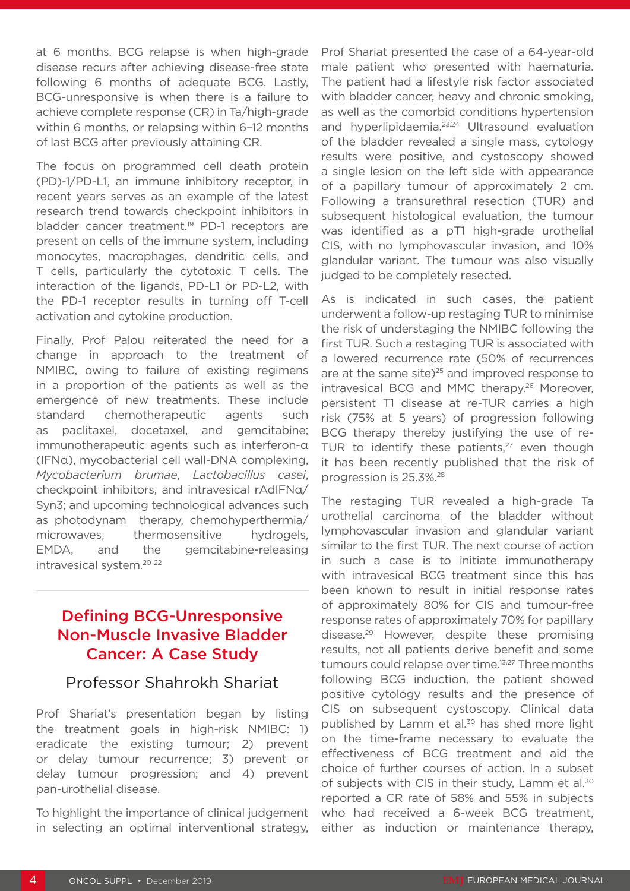at 6 months. BCG relapse is when high-grade disease recurs after achieving disease-free state following 6 months of adequate BCG. Lastly, BCG-unresponsive is when there is a failure to achieve complete response (CR) in Ta/high-grade within 6 months, or relapsing within 6–12 months of last BCG after previously attaining CR.

The focus on programmed cell death protein (PD)-1/PD-L1, an immune inhibitory receptor, in recent years serves as an example of the latest research trend towards checkpoint inhibitors in bladder cancer treatment.<sup>19</sup> PD-1 receptors are present on cells of the immune system, including monocytes, macrophages, dendritic cells, and T cells, particularly the cytotoxic T cells. The interaction of the ligands, PD-L1 or PD-L2, with the PD-1 receptor results in turning off T-cell activation and cytokine production.

Finally, Prof Palou reiterated the need for a change in approach to the treatment of NMIBC, owing to failure of existing regimens in a proportion of the patients as well as the emergence of new treatments. These include standard chemotherapeutic agents such as paclitaxel, docetaxel, and gemcitabine; immunotherapeutic agents such as interferon-α (IFNα), mycobacterial cell wall-DNA complexing, *Mycobacterium brumae*, *Lactobacillus casei*, checkpoint inhibitors, and intravesical rAdIFNα/ Syn3; and upcoming technological advances such as photodynam therapy, chemohyperthermia/ microwaves, thermosensitive hydrogels, EMDA, and the gemcitabine-releasing intravesical system.20-22

## Defining BCG-Unresponsive Non-Muscle Invasive Bladder Cancer: A Case Study

#### Professor Shahrokh Shariat

Prof Shariat's presentation began by listing the treatment goals in high-risk NMIBC: 1) eradicate the existing tumour; 2) prevent or delay tumour recurrence; 3) prevent or delay tumour progression; and 4) prevent pan-urothelial disease.

To highlight the importance of clinical judgement in selecting an optimal interventional strategy,

Prof Shariat presented the case of a 64-year-old male patient who presented with haematuria. The patient had a lifestyle risk factor associated with bladder cancer, heavy and chronic smoking, as well as the comorbid conditions hypertension and hyperlipidaemia.23,24 Ultrasound evaluation of the bladder revealed a single mass, cytology results were positive, and cystoscopy showed a single lesion on the left side with appearance of a papillary tumour of approximately 2 cm. Following a transurethral resection (TUR) and subsequent histological evaluation, the tumour was identified as a pT1 high-grade urothelial CIS, with no lymphovascular invasion, and 10% glandular variant. The tumour was also visually judged to be completely resected.

As is indicated in such cases, the patient underwent a follow-up restaging TUR to minimise the risk of understaging the NMIBC following the first TUR. Such a restaging TUR is associated with a lowered recurrence rate (50% of recurrences are at the same site) $25$  and improved response to intravesical BCG and MMC therapy.<sup>26</sup> Moreover, persistent T1 disease at re-TUR carries a high risk (75% at 5 years) of progression following BCG therapy thereby justifying the use of re-TUR to identify these patients, $27$  even though it has been recently published that the risk of progression is 25.3%.28

The restaging TUR revealed a high-grade Ta urothelial carcinoma of the bladder without lymphovascular invasion and glandular variant similar to the first TUR. The next course of action in such a case is to initiate immunotherapy with intravesical BCG treatment since this has been known to result in initial response rates of approximately 80% for CIS and tumour-free response rates of approximately 70% for papillary disease.29 However, despite these promising results, not all patients derive benefit and some tumours could relapse over time.13,27 Three months following BCG induction, the patient showed positive cytology results and the presence of CIS on subsequent cystoscopy. Clinical data published by Lamm et al.<sup>30</sup> has shed more light on the time-frame necessary to evaluate the effectiveness of BCG treatment and aid the choice of further courses of action. In a subset of subjects with CIS in their study. Lamm et al.<sup>30</sup> reported a CR rate of 58% and 55% in subjects who had received a 6-week BCG treatment, either as induction or maintenance therapy,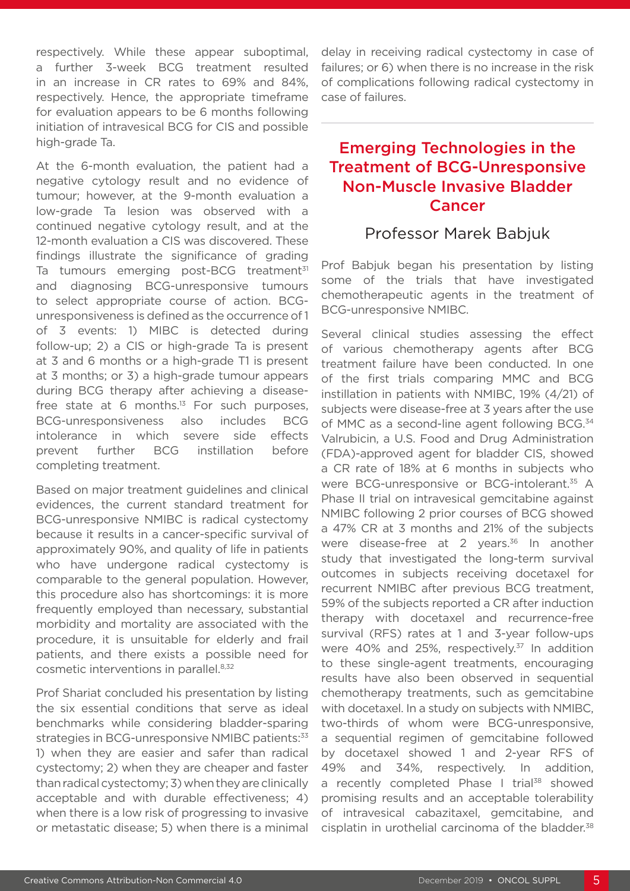respectively. While these appear suboptimal, a further 3-week BCG treatment resulted in an increase in CR rates to 69% and 84%, respectively. Hence, the appropriate timeframe for evaluation appears to be 6 months following initiation of intravesical BCG for CIS and possible high-grade Ta.

At the 6-month evaluation, the patient had a negative cytology result and no evidence of tumour; however, at the 9-month evaluation a low-grade Ta lesion was observed with a continued negative cytology result, and at the 12-month evaluation a CIS was discovered. These findings illustrate the significance of grading Ta tumours emerging post-BCG treatment<sup>31</sup> and diagnosing BCG-unresponsive tumours to select appropriate course of action. BCGunresponsiveness is defined as the occurrence of 1 of 3 events: 1) MIBC is detected during follow-up; 2) a CIS or high-grade Ta is present at 3 and 6 months or a high-grade T1 is present at 3 months; or 3) a high-grade tumour appears during BCG therapy after achieving a diseasefree state at 6 months. $13$  For such purposes, BCG-unresponsiveness also includes BCG intolerance in which severe side effects prevent further BCG instillation before completing treatment.

Based on major treatment guidelines and clinical evidences, the current standard treatment for BCG-unresponsive NMIBC is radical cystectomy because it results in a cancer-specific survival of approximately 90%, and quality of life in patients who have undergone radical cystectomy is comparable to the general population. However, this procedure also has shortcomings: it is more frequently employed than necessary, substantial morbidity and mortality are associated with the procedure, it is unsuitable for elderly and frail patients, and there exists a possible need for cosmetic interventions in parallel.8,32

Prof Shariat concluded his presentation by listing the six essential conditions that serve as ideal benchmarks while considering bladder-sparing strategies in BCG-unresponsive NMIBC patients: 33 1) when they are easier and safer than radical cystectomy; 2) when they are cheaper and faster than radical cystectomy; 3) when they are clinically acceptable and with durable effectiveness; 4) when there is a low risk of progressing to invasive or metastatic disease; 5) when there is a minimal

delay in receiving radical cystectomy in case of failures; or 6) when there is no increase in the risk of complications following radical cystectomy in case of failures.

# Emerging Technologies in the Treatment of BCG-Unresponsive Non-Muscle Invasive Bladder Cancer

# Professor Marek Babjuk

Prof Babjuk began his presentation by listing some of the trials that have investigated chemotherapeutic agents in the treatment of BCG-unresponsive NMIBC.

Several clinical studies assessing the effect of various chemotherapy agents after BCG treatment failure have been conducted. In one of the first trials comparing MMC and BCG instillation in patients with NMIBC, 19% (4/21) of subjects were disease-free at 3 years after the use of MMC as a second-line agent following BCG.<sup>34</sup> Valrubicin, a U.S. Food and Drug Administration (FDA)-approved agent for bladder CIS, showed a CR rate of 18% at 6 months in subjects who were BCG-unresponsive or BCG-intolerant.<sup>35</sup> A Phase II trial on intravesical gemcitabine against NMIBC following 2 prior courses of BCG showed a 47% CR at 3 months and 21% of the subjects were disease-free at 2 years.<sup>36</sup> In another study that investigated the long-term survival outcomes in subjects receiving docetaxel for recurrent NMIBC after previous BCG treatment, 59% of the subjects reported a CR after induction therapy with docetaxel and recurrence-free survival (RFS) rates at 1 and 3-year follow-ups were 40% and 25%, respectively.<sup>37</sup> In addition to these single-agent treatments, encouraging results have also been observed in sequential chemotherapy treatments, such as gemcitabine with docetaxel. In a study on subjects with NMIBC, two-thirds of whom were BCG-unresponsive, a sequential regimen of gemcitabine followed by docetaxel showed 1 and 2-year RFS of 49% and 34%, respectively. In addition, a recently completed Phase I trial<sup>38</sup> showed promising results and an acceptable tolerability of intravesical cabazitaxel, gemcitabine, and cisplatin in urothelial carcinoma of the bladder.<sup>38</sup>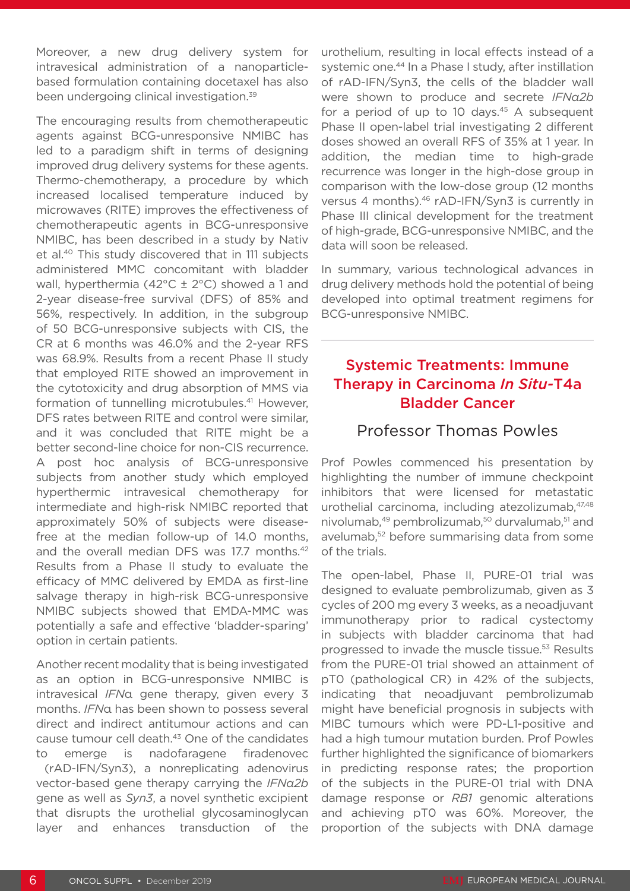Moreover, a new drug delivery system for intravesical administration of a nanoparticlebased formulation containing docetaxel has also been undergoing clinical investigation.39

The encouraging results from chemotherapeutic agents against BCG-unresponsive NMIBC has led to a paradigm shift in terms of designing improved drug delivery systems for these agents. Thermo-chemotherapy, a procedure by which increased localised temperature induced by microwaves (RITE) improves the effectiveness of chemotherapeutic agents in BCG-unresponsive NMIBC, has been described in a study by Nativ et al.40 This study discovered that in 111 subjects administered MMC concomitant with bladder wall, hyperthermia (42°C ± 2°C) showed a 1 and 2-year disease-free survival (DFS) of 85% and 56%, respectively. In addition, in the subgroup of 50 BCG-unresponsive subjects with CIS, the CR at 6 months was 46.0% and the 2-year RFS was 68.9%. Results from a recent Phase II study that employed RITE showed an improvement in the cytotoxicity and drug absorption of MMS via formation of tunnelling microtubules.<sup>41</sup> However, DFS rates between RITE and control were similar, and it was concluded that RITE might be a better second-line choice for non-CIS recurrence. A post hoc analysis of BCG-unresponsive subjects from another study which employed hyperthermic intravesical chemotherapy for intermediate and high-risk NMIBC reported that approximately 50% of subjects were diseasefree at the median follow-up of 14.0 months, and the overall median DFS was 17.7 months.<sup>42</sup> Results from a Phase II study to evaluate the efficacy of MMC delivered by EMDA as first-line salvage therapy in high-risk BCG-unresponsive NMIBC subjects showed that EMDA-MMC was potentially a safe and effective 'bladder-sparing' option in certain patients.

Another recent modality that is being investigated as an option in BCG-unresponsive NMIBC is intravesical *IFN*α gene therapy, given every 3 months. *IFN*α has been shown to possess several direct and indirect antitumour actions and can cause tumour cell death.43 One of the candidates to emerge is nadofaragene firadenovec

 (rAD-IFN/Syn3), a nonreplicating adenovirus vector-based gene therapy carrying the *IFNα2b* gene as well as *Syn3*, a novel synthetic excipient that disrupts the urothelial glycosaminoglycan layer and enhances transduction of the

urothelium, resulting in local effects instead of a systemic one.<sup>44</sup> In a Phase I study, after instillation of rAD-IFN/Syn3, the cells of the bladder wall were shown to produce and secrete *IFNα2b* for a period of up to 10 days. $45$  A subsequent Phase II open-label trial investigating 2 different doses showed an overall RFS of 35% at 1 year. In addition, the median time to high-grade recurrence was longer in the high-dose group in comparison with the low-dose group (12 months versus 4 months).<sup>46</sup> rAD-IFN/Syn3 is currently in Phase III clinical development for the treatment of high-grade, BCG-unresponsive NMIBC, and the data will soon be released.

In summary, various technological advances in drug delivery methods hold the potential of being developed into optimal treatment regimens for BCG-unresponsive NMIBC.

#### Systemic Treatments: Immune Therapy in Carcinoma *In Situ-*T4a Bladder Cancer

#### Professor Thomas Powles

Prof Powles commenced his presentation by highlighting the number of immune checkpoint inhibitors that were licensed for metastatic urothelial carcinoma, including atezolizumab, 47,48 nivolumab,<sup>49</sup> pembrolizumab,<sup>50</sup> durvalumab,<sup>51</sup> and avelumab,<sup>52</sup> before summarising data from some of the trials.

The open-label, Phase II, PURE-01 trial was designed to evaluate pembrolizumab, given as 3 cycles of 200 mg every 3 weeks, as a neoadjuvant immunotherapy prior to radical cystectomy in subjects with bladder carcinoma that had progressed to invade the muscle tissue.53 Results from the PURE-01 trial showed an attainment of pT0 (pathological CR) in 42% of the subjects, indicating that neoadjuvant pembrolizumab might have beneficial prognosis in subjects with MIBC tumours which were PD-L1-positive and had a high tumour mutation burden. Prof Powles further highlighted the significance of biomarkers in predicting response rates; the proportion of the subjects in the PURE-01 trial with DNA damage response or *RB1* genomic alterations and achieving pT0 was 60%. Moreover, the proportion of the subjects with DNA damage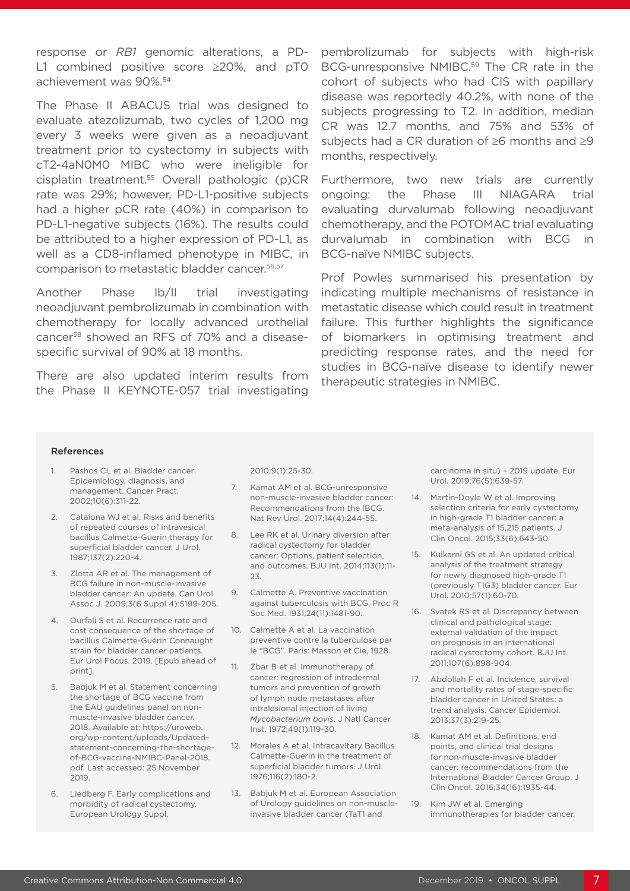response or *RB1* genomic alterations, a PD-L1 combined positive score ≥20%, and pT0 achievement was 90%.54

The Phase II ABACUS trial was designed to evaluate atezolizumab, two cycles of 1,200 mg every 3 weeks were given as a neoadjuvant treatment prior to cystectomy in subjects with cT2-4aN0M0 MIBC who were ineligible for cisplatin treatment.55 Overall pathologic (p)CR rate was 29%; however, PD-L1-positive subjects had a higher pCR rate (40%) in comparison to PD-L1-negative subjects (16%). The results could be attributed to a higher expression of PD-L1, as well as a CD8-inflamed phenotype in MIBC, in comparison to metastatic bladder cancer.56,57

Another Phase Ib/II trial investigating neoadjuvant pembrolizumab in combination with chemotherapy for locally advanced urothelial cancer58 showed an RFS of 70% and a diseasespecific survival of 90% at 18 months.

There are also updated interim results from the Phase II KEYNOTE-057 trial investigating

pembrolizumab for subjects with high-risk BCG-unresponsive NMIBC.<sup>59</sup> The CR rate in the cohort of subjects who had CIS with papillary disease was reportedly 40.2%, with none of the subjects progressing to T2. In addition, median CR was 12.7 months, and 75% and 53% of subjects had a CR duration of ≥6 months and ≥9 months, respectively.

Furthermore, two new trials are currently ongoing: the Phase III NIAGARA trial evaluating durvalumab following neoadjuvant chemotherapy, and the POTOMAC trial evaluating durvalumab in combination with BCG in BCG-naïve NMIBC subjects.

Prof Powles summarised his presentation by indicating multiple mechanisms of resistance in metastatic disease which could result in treatment failure. This further highlights the significance of biomarkers in optimising treatment and predicting response rates, and the need for studies in BCG-naïve disease to identify newer therapeutic strategies in NMIBC.

#### References

- 1. Pashos CL et al. Bladder cancer: Epidemiology, diagnosis, and management. Cancer Pract. 2002;10(6):311-22.
- 2. Catalona WJ et al. Risks and benefits of repeated courses of intravesical bacillus Calmette-Guerin therapy for superficial bladder cancer. J Urol. 1987;137(2):220-4.
- 3. Zlotta AR et al. The management of BCG failure in non-muscle-invasive bladder cancer: An update. Can Urol Assoc J. 2009;3(6 Suppl 4):S199-205.
- 4. Ourfali S et al. Recurrence rate and cost consequence of the shortage of bacillus Calmette-Guérin Connaught strain for bladder cancer patients. Eur Urol Focus. 2019. [Epub ahead of print].
- 5. Babjuk M et al. Statement concerning the shortage of BCG vaccine from the EAU guidelines panel on nonmuscle-invasive bladder cancer. 2018. Available at: https://uroweb. org/wp-content/uploads/Updatedstatement-concerning-the-shortageof-BCG-vaccine-NMIBC-Panel-2018. pdf. Last accessed: 25 November 2019.
- 6. Liedberg F. Early complications and morbidity of radical cystectomy. European Urology Suppl.

2010;9(1):25-30.

- 7. Kamat AM et al. BCG-unresponsive non-muscle-invasive bladder cancer: Recommendations from the IBCG. Nat Rev Urol. 2017;14(4):244-55.
- 8. Lee RK et al. Urinary diversion after radical cystectomy for bladder cancer: Options, patient selection, and outcomes. BJU Int. 2014;113(1):11- 23
- 9. Calmette A. Preventive vaccination against tuberculosis with BCG. Proc R Soc Med. 1931;24(11):1481-90.
- 10. Calmette A et al. La vaccination preventive contre la tuberculose par le "BCG". Paris: Masson et Cie, 1928.
- 11. Zbar B et al. Immunotherapy of cancer: regression of intradermal tumors and prevention of growth of lymph node metastases after intralesional injection of living *Mycobacterium bovis*. J Natl Cancer Inst. 1972;49(1):119-30.
- 12. Morales A et al. Intracavitary Bacillus Calmette-Guerin in the treatment of superficial bladder tumors. J Urol. 1976;116(2):180-2.
- 13. Babjuk M et al. European Association of Urology guidelines on non-muscleinvasive bladder cancer (TaT1 and

carcinoma in situ) – 2019 update. Eur Urol. 2019;76(5):639-57.

- 14. Martin-Doyle W et al. Improving selection criteria for early cystectomy in high-grade T1 bladder cancer: a meta-analysis of 15,215 patients. J Clin Oncol. 2015;33(6):643-50.
- 15. Kulkarni GS et al. An updated critical analysis of the treatment strategy for newly diagnosed high-grade T1 (previously T1G3) bladder cancer. Eur Urol. 2010;57(1):60-70.
- 16. Svatek RS et al. Discrepancy between clinical and pathological stage: external validation of the impact on prognosis in an international radical cystectomy cohort. BJU Int. 2011;107(6):898-904.
- 17. Abdollah F et al. Incidence, survival and mortality rates of stage-specific bladder cancer in United States: a trend analysis. Cancer Epidemiol. 2013;37(3):219-25.
- 18. Kamat AM et al. Definitions, end points, and clinical trial designs for non-muscle-invasive bladder cancer: recommendations from the International Bladder Cancer Group. J Clin Oncol. 2016;34(16):1935-44.
- 19. Kim JW et al. Emerging immunotherapies for bladder cancer.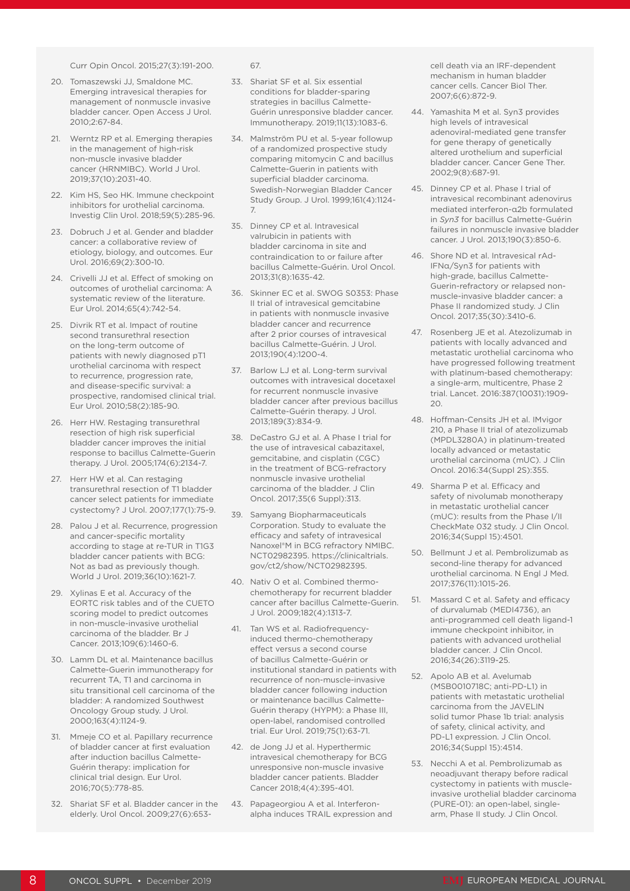Curr Opin Oncol. 2015;27(3):191-200.

- 20. Tomaszewski JJ, Smaldone MC. Emerging intravesical therapies for management of nonmuscle invasive bladder cancer. Open Access J Urol. 2010;2:67-84.
- 21. Werntz RP et al. Emerging therapies in the management of high-risk non-muscle invasive bladder cancer (HRNMIBC). World J Urol. 2019;37(10):2031-40.
- 22. Kim HS, Seo HK. Immune checkpoint inhibitors for urothelial carcinoma. Investig Clin Urol. 2018;59(5):285-96.
- 23. Dobruch J et al. Gender and bladder cancer: a collaborative review of etiology, biology, and outcomes. Eur Urol. 2016;69(2):300-10.
- 24. Crivelli JJ et al. Effect of smoking on outcomes of urothelial carcinoma: A systematic review of the literature. Eur Urol. 2014;65(4):742-54.
- 25. Divrik RT et al. Impact of routine second transurethral resection on the long-term outcome of patients with newly diagnosed pT1 urothelial carcinoma with respect to recurrence, progression rate, and disease-specific survival: a prospective, randomised clinical trial. Eur Urol. 2010;58(2):185-90.
- 26. Herr HW. Restaging transurethral resection of high risk superficial bladder cancer improves the initial response to bacillus Calmette-Guerin therapy. J Urol. 2005;174(6):2134-7.
- 27. Herr HW et al. Can restaging transurethral resection of T1 bladder cancer select patients for immediate cystectomy? J Urol. 2007;177(1):75-9.
- 28. Palou J et al. Recurrence, progression and cancer-specific mortality according to stage at re-TUR in T1G3 bladder cancer patients with BCG: Not as bad as previously though. World J Urol. 2019;36(10):1621-7.
- 29. Xylinas E et al. Accuracy of the EORTC risk tables and of the CUETO scoring model to predict outcomes in non-muscle-invasive urothelial carcinoma of the bladder. Br J Cancer. 2013;109(6):1460-6.
- 30. Lamm DL et al. Maintenance bacillus Calmette-Guerin immunotherapy for recurrent TA, T1 and carcinoma in situ transitional cell carcinoma of the bladder: A randomized Southwest Oncology Group study. J Urol. 2000;163(4):1124-9.
- 31. Mmeje CO et al. Papillary recurrence of bladder cancer at first evaluation after induction bacillus Calmette-Guérin therapy: implication for clinical trial design. Eur Urol. 2016;70(5):778-85.
- 32. Shariat SF et al. Bladder cancer in the elderly. Urol Oncol. 2009;27(6):653-

#### 67.

- 33. Shariat SF et al. Six essential conditions for bladder-sparing strategies in bacillus Calmette-Guérin unresponsive bladder cancer. Immunotherapy. 2019;11(13):1083-6.
- 34. Malmström PU et al. 5-year followup of a randomized prospective study comparing mitomycin C and bacillus Calmette-Guerin in patients with superficial bladder carcinoma. Swedish-Norwegian Bladder Cancer Study Group. J Urol. 1999;161(4):1124- 7.
- 35. Dinney CP et al. Intravesical valrubicin in patients with bladder carcinoma in site and contraindication to or failure after bacillus Calmette-Guérin. Urol Oncol. 2013;31(8):1635-42.
- 36. Skinner EC et al. SWOG S0353: Phase II trial of intravesical gemcitabine in patients with nonmuscle invasive bladder cancer and recurrence after 2 prior courses of intravesical bacillus Calmette-Guérin. J Urol. 2013;190(4):1200-4.
- 37. Barlow LJ et al. Long-term survival outcomes with intravesical docetaxel for recurrent nonmuscle invasive bladder cancer after previous bacillus Calmette-Guérin therapy. J Urol. 2013;189(3):834-9.
- 38. DeCastro GJ et al. A Phase I trial for the use of intravesical cabazitaxel, gemcitabine, and cisplatin (CGC) in the treatment of BCG-refractory nonmuscle invasive urothelial carcinoma of the bladder. J Clin Oncol. 2017;35(6 Suppl):313.
- 39. Samyang Biopharmaceuticals Corporation. Study to evaluate the efficacy and safety of intravesical Nanoxel®M in BCG refractory NMIBC. NCT02982395. https://clinicaltrials. gov/ct2/show/NCT02982395.
- 40. Nativ O et al. Combined thermochemotherapy for recurrent bladder cancer after bacillus Calmette-Guerin. J Urol. 2009;182(4):1313-7.
- 41. Tan WS et al. Radiofrequencyinduced thermo-chemotherapy effect versus a second course of bacillus Calmette-Guérin or institutional standard in patients with recurrence of non-muscle-invasive bladder cancer following induction or maintenance bacillus Calmette-Guérin therapy (HYPM): a Phase III, open-label, randomised controlled trial. Eur Urol. 2019;75(1):63-71.
- 42. de Jong JJ et al. Hyperthermic intravesical chemotherapy for BCG unresponsive non-muscle invasive bladder cancer patients. Bladder Cancer 2018;4(4):395-401.
- 43. Papageorgiou A et al. Interferonalpha induces TRAIL expression and

cell death via an IRF-dependent mechanism in human bladder cancer cells. Cancer Biol Ther. 2007;6(6):872-9.

- 44. Yamashita M et al. Syn3 provides high levels of intravesical adenoviral-mediated gene transfer for gene therapy of genetically altered urothelium and superficial bladder cancer. Cancer Gene Ther. 2002;9(8):687-91.
- 45. Dinney CP et al. Phase I trial of intravesical recombinant adenovirus mediated interferon-α2b formulated in *Syn3* for bacillus Calmette-Guérin failures in nonmuscle invasive bladder cancer. J Urol. 2013;190(3):850-6.
- 46. Shore ND et al. Intravesical rAd-IFNα/Syn3 for patients with high-grade, bacillus Calmette-Guerin-refractory or relapsed nonmuscle-invasive bladder cancer: a Phase II randomized study. J Clin Oncol. 2017;35(30):3410-6.
- 47. Rosenberg JE et al. Atezolizumab in patients with locally advanced and metastatic urothelial carcinoma who have progressed following treatment with platinum-based chemotherapy: a single-arm, multicentre, Phase 2 trial. Lancet. 2016:387(10031):1909-  $20.$
- 48. Hoffman-Censits JH et al. IMvigor 210, a Phase II trial of atezolizumab (MPDL3280A) in platinum-treated locally advanced or metastatic urothelial carcinoma (mUC). J Clin Oncol. 2016:34(Suppl 2S):355.
- 49. Sharma P et al. Efficacy and safety of nivolumab monotherapy in metastatic urothelial cancer (mUC): results from the Phase I/II CheckMate 032 study. J Clin Oncol. 2016;34(Suppl 15):4501.
- 50. Bellmunt J et al. Pembrolizumab as second-line therapy for advanced urothelial carcinoma. N Engl J Med. 2017;376(11):1015-26.
- 51. Massard C et al. Safety and efficacy of durvalumab (MEDI4736), an anti-programmed cell death ligand-1 immune checkpoint inhibitor, in patients with advanced urothelial bladder cancer. J Clin Oncol. 2016;34(26):3119-25.
- 52. Apolo AB et al. Avelumab (MSB0010718C; anti-PD-L1) in patients with metastatic urothelial carcinoma from the JAVELIN solid tumor Phase 1b trial: analysis of safety, clinical activity, and PD-L1 expression. J Clin Oncol. 2016;34(Suppl 15):4514.
- 53. Necchi A et al. Pembrolizumab as neoadjuvant therapy before radical cystectomy in patients with muscleinvasive urothelial bladder carcinoma (PURE-01): an open-label, singlearm, Phase II study. J Clin Oncol.